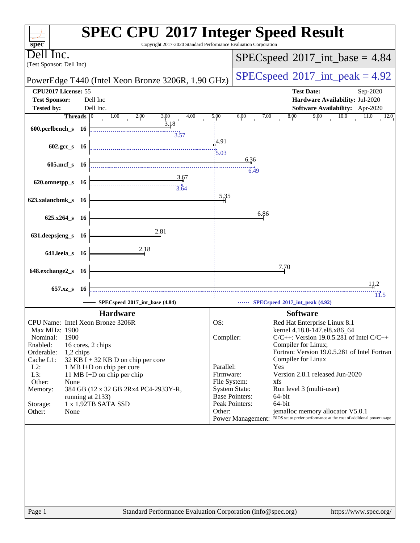| $spec^{\circ}$                                      | Copyright 2017-2020 Standard Performance Evaluation Corporation |                                            | <b>SPEC CPU®2017 Integer Speed Result</b>                                              |
|-----------------------------------------------------|-----------------------------------------------------------------|--------------------------------------------|----------------------------------------------------------------------------------------|
| ell Inc.<br>(Test Sponsor: Dell Inc)                |                                                                 |                                            | $SPEC speed^{\circ}2017\_int\_base = 4.84$                                             |
|                                                     | PowerEdge T440 (Intel Xeon Bronze 3206R, 1.90 GHz)              | $SPEC speed^{\circ}2017\_int\_peak = 4.92$ |                                                                                        |
| CPU2017 License: 55                                 |                                                                 |                                            | <b>Test Date:</b><br>Sep-2020                                                          |
| <b>Test Sponsor:</b><br>Dell Inc                    |                                                                 |                                            | Hardware Availability: Jul-2020                                                        |
| <b>Tested by:</b><br>Dell Inc.                      |                                                                 |                                            | Software Availability: Apr-2020                                                        |
| Threads $ 0 $                                       | 1.00<br>2.00<br>3.00<br>4.00                                    | 5.00                                       | 8.00<br>9.00<br>10.0<br>6.00<br>11.0<br>7.00<br>12.0                                   |
| 600.perlbench_s 16                                  | 3.18                                                            |                                            |                                                                                        |
|                                                     | 3.57                                                            |                                            |                                                                                        |
| $602.\text{gcc s}$ 16                               |                                                                 | 4.91                                       |                                                                                        |
|                                                     |                                                                 | $\frac{14}{5.03}$                          |                                                                                        |
| $605$ .mcf_s<br>- 16                                |                                                                 |                                            | 6.36                                                                                   |
|                                                     |                                                                 |                                            | 6.49                                                                                   |
| 620.omnetpp_s 16                                    | 3.67                                                            |                                            |                                                                                        |
|                                                     | $\frac{1}{3.64}$                                                |                                            |                                                                                        |
| 623.xalancbmk_s 16                                  |                                                                 | 5,35                                       |                                                                                        |
|                                                     |                                                                 |                                            |                                                                                        |
| $625.x264_s$ 16                                     |                                                                 |                                            | 6.86                                                                                   |
|                                                     |                                                                 |                                            |                                                                                        |
| 631.deepsjeng_s 16                                  | 2.81                                                            |                                            |                                                                                        |
|                                                     |                                                                 |                                            |                                                                                        |
| 641.leela_s 16                                      | 2.18                                                            |                                            |                                                                                        |
|                                                     |                                                                 |                                            | 7.70                                                                                   |
| 648.exchange2_s<br>- 16                             |                                                                 |                                            |                                                                                        |
|                                                     |                                                                 |                                            | 11.2                                                                                   |
| 657.xz_s<br>-16                                     |                                                                 |                                            | 11.5                                                                                   |
|                                                     | SPECspeed®2017_int_base (4.84)                                  |                                            | SPECspeed <sup>®</sup> 2017_int_peak (4.92)                                            |
|                                                     | <b>Hardware</b>                                                 |                                            | <b>Software</b>                                                                        |
| CPU Name: Intel Xeon Bronze 3206R                   |                                                                 | OS:                                        | Red Hat Enterprise Linux 8.1                                                           |
| Max MHz: 1900                                       |                                                                 |                                            | kernel 4.18.0-147.el8.x86_64                                                           |
| 1900<br>Nominal:                                    |                                                                 | Compiler:                                  | $C/C++$ : Version 19.0.5.281 of Intel $C/C++$                                          |
| Enabled:<br>16 cores, 2 chips                       |                                                                 |                                            | Compiler for Linux;                                                                    |
| Orderable:<br>1,2 chips<br>Cache L1:                | $32$ KB I + 32 KB D on chip per core                            |                                            | Fortran: Version 19.0.5.281 of Intel Fortran<br>Compiler for Linux                     |
| $L2$ :                                              | 1 MB I+D on chip per core                                       | Parallel:                                  | Yes                                                                                    |
| L3:                                                 | 11 MB I+D on chip per chip                                      | Firmware:                                  | Version 2.8.1 released Jun-2020                                                        |
| Other:<br>None                                      |                                                                 |                                            | xfs<br>File System:                                                                    |
| Memory:                                             | 384 GB (12 x 32 GB 2Rx4 PC4-2933Y-R,                            |                                            | <b>System State:</b><br>Run level 3 (multi-user)<br><b>Base Pointers:</b><br>64-bit    |
| running at 2133)<br>1 x 1.92TB SATA SSD<br>Storage: |                                                                 |                                            | Peak Pointers:<br>64-bit                                                               |
| Other:<br>None                                      |                                                                 | Other:                                     | jemalloc memory allocator V5.0.1                                                       |
|                                                     |                                                                 |                                            | Power Management: BIOS set to prefer performance at the cost of additional power usage |
|                                                     |                                                                 |                                            |                                                                                        |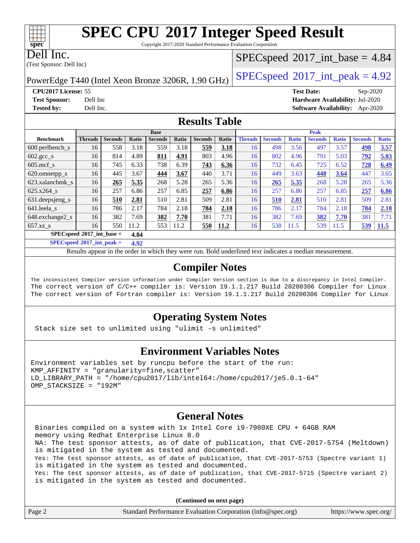Copyright 2017-2020 Standard Performance Evaluation Corporation

Dell Inc.

(Test Sponsor: Dell Inc)

#### $SPECspeed^{\circledcirc}2017\_int\_base = 4.84$  $SPECspeed^{\circledcirc}2017\_int\_base = 4.84$

PowerEdge T440 (Intel Xeon Bronze 3206R, 1.90 GHz)  $\left|$  [SPECspeed](http://www.spec.org/auto/cpu2017/Docs/result-fields.html#SPECspeed2017intpeak)®[2017\\_int\\_peak = 4](http://www.spec.org/auto/cpu2017/Docs/result-fields.html#SPECspeed2017intpeak).92

**[CPU2017 License:](http://www.spec.org/auto/cpu2017/Docs/result-fields.html#CPU2017License)** 55 **[Test Date:](http://www.spec.org/auto/cpu2017/Docs/result-fields.html#TestDate)** Sep-2020 **[Test Sponsor:](http://www.spec.org/auto/cpu2017/Docs/result-fields.html#TestSponsor)** Dell Inc **[Hardware Availability:](http://www.spec.org/auto/cpu2017/Docs/result-fields.html#HardwareAvailability)** Jul-2020 **[Tested by:](http://www.spec.org/auto/cpu2017/Docs/result-fields.html#Testedby)** Dell Inc. **[Software Availability:](http://www.spec.org/auto/cpu2017/Docs/result-fields.html#SoftwareAvailability)** Apr-2020

#### **[Results Table](http://www.spec.org/auto/cpu2017/Docs/result-fields.html#ResultsTable)**

|                                     | <b>Base</b>    |                |       |                |       | <b>Peak</b>    |       |                |                |              |                |              |                |              |
|-------------------------------------|----------------|----------------|-------|----------------|-------|----------------|-------|----------------|----------------|--------------|----------------|--------------|----------------|--------------|
| <b>Benchmark</b>                    | <b>Threads</b> | <b>Seconds</b> | Ratio | <b>Seconds</b> | Ratio | <b>Seconds</b> | Ratio | <b>Threads</b> | <b>Seconds</b> | <b>Ratio</b> | <b>Seconds</b> | <b>Ratio</b> | <b>Seconds</b> | <b>Ratio</b> |
| 600.perlbench s                     | 16             | 558            | 3.18  | 559            | 3.18  | 559            | 3.18  | 16             | 498            | 3.56         | 497            | 3.57         | 498            | 3.57         |
| $602.\text{gcc}\_\text{s}$          | 16             | 814            | 4.89  | 811            | 4.91  | 803            | 4.96  | 16             | 802            | 4.96         | 791            | 5.03         | 792            | 5.03         |
| $605$ .mcf s                        | 16             | 745            | 6.33  | 738            | 6.39  | 743            | 6.36  | 16             | 732            | 6.45         | 725            | 6.52         | 728            | 6.49         |
| 620.omnetpp_s                       | 16             | 445            | 3.67  | 444            | 3.67  | 440            | 3.71  | 16             | 449            | 3.63         | 448            | 3.64         | 447            | 3.65         |
| 623.xalancbmk s                     | 16             | 265            | 5.35  | 268            | 5.28  | 265            | 5.36  | 16             | 265            | 5.35         | 268            | 5.28         | 265            | 5.36         |
| 625.x264 s                          | 16             | 257            | 6.86  | 257            | 6.85  | 257            | 6.86  | 16             | 257            | 6.86         | 257            | 6.85         | 257            | 6.86         |
| 631.deepsjeng_s                     | 16             | 510            | 2.81  | 510            | 2.81  | 509            | 2.81  | 16             | 510            | 2.81         | 510            | 2.81         | 509            | 2.81         |
| 641.leela s                         | 16             | 786            | 2.17  | 784            | 2.18  | 784            | 2.18  | 16             | 786            | 2.17         | 784            | 2.18         | 784            | 2.18         |
| 648.exchange2_s                     | 16             | 382            | 7.69  | 382            | 7.70  | 381            | 7.71  | 16             | 382            | 7.69         | 382            | 7.70         | 381            | 7.71         |
| $657.xz$ s                          | 16             | 550            | 11.2  | 553            | 11.2  | 550            | 11.2  | 16             | 538            | 11.5         | 539            | 11.5         | 539            | 11.5         |
| $SPECspeed*2017$ int base =<br>4.84 |                |                |       |                |       |                |       |                |                |              |                |              |                |              |

**[SPECspeed](http://www.spec.org/auto/cpu2017/Docs/result-fields.html#SPECspeed2017intpeak)[2017\\_int\\_peak =](http://www.spec.org/auto/cpu2017/Docs/result-fields.html#SPECspeed2017intpeak) 4.92**

Results appear in the [order in which they were run.](http://www.spec.org/auto/cpu2017/Docs/result-fields.html#RunOrder) Bold underlined text [indicates a median measurement](http://www.spec.org/auto/cpu2017/Docs/result-fields.html#Median).

#### **[Compiler Notes](http://www.spec.org/auto/cpu2017/Docs/result-fields.html#CompilerNotes)**

The inconsistent Compiler version information under Compiler Version section is due to a discrepancy in Intel Compiler. The correct version of C/C++ compiler is: Version 19.1.1.217 Build 20200306 Compiler for Linux The correct version of Fortran compiler is: Version 19.1.1.217 Build 20200306 Compiler for Linux

### **[Operating System Notes](http://www.spec.org/auto/cpu2017/Docs/result-fields.html#OperatingSystemNotes)**

Stack size set to unlimited using "ulimit -s unlimited"

#### **[Environment Variables Notes](http://www.spec.org/auto/cpu2017/Docs/result-fields.html#EnvironmentVariablesNotes)**

Environment variables set by runcpu before the start of the run:  $KMP$  AFFINITY = "granularity=fine, scatter" LD\_LIBRARY\_PATH = "/home/cpu2017/lib/intel64:/home/cpu2017/je5.0.1-64" OMP\_STACKSIZE = "192M"

#### **[General Notes](http://www.spec.org/auto/cpu2017/Docs/result-fields.html#GeneralNotes)**

 Binaries compiled on a system with 1x Intel Core i9-7980XE CPU + 64GB RAM memory using Redhat Enterprise Linux 8.0 NA: The test sponsor attests, as of date of publication, that CVE-2017-5754 (Meltdown) is mitigated in the system as tested and documented. Yes: The test sponsor attests, as of date of publication, that CVE-2017-5753 (Spectre variant 1) is mitigated in the system as tested and documented. Yes: The test sponsor attests, as of date of publication, that CVE-2017-5715 (Spectre variant 2) is mitigated in the system as tested and documented.

**(Continued on next page)**

| Page 2 | Standard Performance Evaluation Corporation (info@spec.org) | https://www.spec.org/ |
|--------|-------------------------------------------------------------|-----------------------|

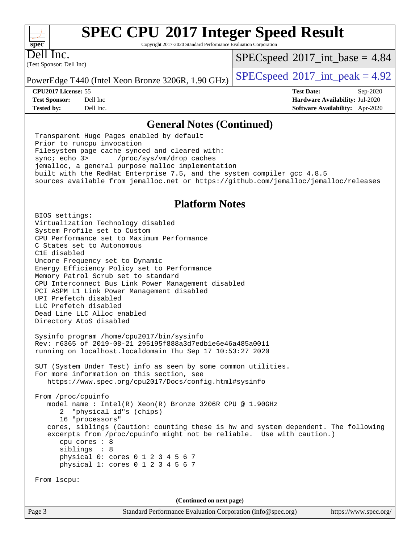Copyright 2017-2020 Standard Performance Evaluation Corporation

(Test Sponsor: Dell Inc) Dell Inc.

**[spec](http://www.spec.org/)**

 $+\ +$ 

 $SPECspeed^{\circ}2017\_int\_base = 4.84$  $SPECspeed^{\circ}2017\_int\_base = 4.84$ 

PowerEdge T440 (Intel Xeon Bronze 3206R, 1.90 GHz)  $\left|$  [SPECspeed](http://www.spec.org/auto/cpu2017/Docs/result-fields.html#SPECspeed2017intpeak)®[2017\\_int\\_peak = 4](http://www.spec.org/auto/cpu2017/Docs/result-fields.html#SPECspeed2017intpeak).92

**[CPU2017 License:](http://www.spec.org/auto/cpu2017/Docs/result-fields.html#CPU2017License)** 55 **[Test Date:](http://www.spec.org/auto/cpu2017/Docs/result-fields.html#TestDate)** Sep-2020 **[Test Sponsor:](http://www.spec.org/auto/cpu2017/Docs/result-fields.html#TestSponsor)** Dell Inc **[Hardware Availability:](http://www.spec.org/auto/cpu2017/Docs/result-fields.html#HardwareAvailability)** Jul-2020 **[Tested by:](http://www.spec.org/auto/cpu2017/Docs/result-fields.html#Testedby)** Dell Inc. **[Software Availability:](http://www.spec.org/auto/cpu2017/Docs/result-fields.html#SoftwareAvailability)** Apr-2020

#### **[General Notes \(Continued\)](http://www.spec.org/auto/cpu2017/Docs/result-fields.html#GeneralNotes)**

 Transparent Huge Pages enabled by default Prior to runcpu invocation Filesystem page cache synced and cleared with: sync; echo 3> /proc/sys/vm/drop\_caches jemalloc, a general purpose malloc implementation built with the RedHat Enterprise 7.5, and the system compiler gcc 4.8.5 sources available from jemalloc.net or <https://github.com/jemalloc/jemalloc/releases>

### **[Platform Notes](http://www.spec.org/auto/cpu2017/Docs/result-fields.html#PlatformNotes)**

 BIOS settings: Virtualization Technology disabled System Profile set to Custom CPU Performance set to Maximum Performance C States set to Autonomous C1E disabled Uncore Frequency set to Dynamic Energy Efficiency Policy set to Performance Memory Patrol Scrub set to standard CPU Interconnect Bus Link Power Management disabled PCI ASPM L1 Link Power Management disabled UPI Prefetch disabled LLC Prefetch disabled Dead Line LLC Alloc enabled Directory AtoS disabled Sysinfo program /home/cpu2017/bin/sysinfo Rev: r6365 of 2019-08-21 295195f888a3d7edb1e6e46a485a0011 running on localhost.localdomain Thu Sep 17 10:53:27 2020 SUT (System Under Test) info as seen by some common utilities. For more information on this section, see <https://www.spec.org/cpu2017/Docs/config.html#sysinfo> From /proc/cpuinfo model name : Intel(R) Xeon(R) Bronze 3206R CPU @ 1.90GHz 2 "physical id"s (chips) 16 "processors" cores, siblings (Caution: counting these is hw and system dependent. The following excerpts from /proc/cpuinfo might not be reliable. Use with caution.) cpu cores : 8 siblings : 8 physical 0: cores 0 1 2 3 4 5 6 7 physical 1: cores 0 1 2 3 4 5 6 7 From lscpu: **(Continued on next page)**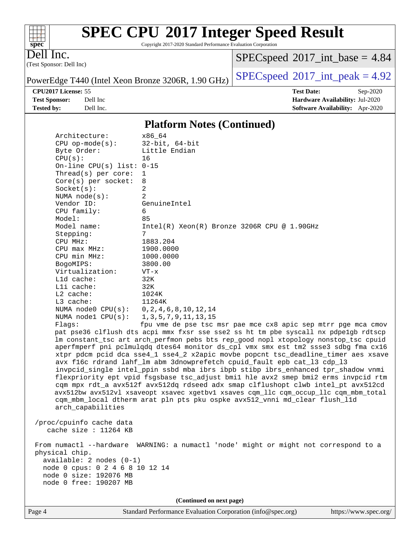Copyright 2017-2020 Standard Performance Evaluation Corporation

Dell Inc.

**[spec](http://www.spec.org/)**

 $\begin{matrix} & \ + \ + \end{matrix}$ 

(Test Sponsor: Dell Inc)

 $SPECspeed^{\circledcirc}2017\_int\_base = 4.84$  $SPECspeed^{\circledcirc}2017\_int\_base = 4.84$ 

PowerEdge T440 (Intel Xeon Bronze 3206R, 1.90 GHz)  $\left|$  [SPECspeed](http://www.spec.org/auto/cpu2017/Docs/result-fields.html#SPECspeed2017intpeak)®[2017\\_int\\_peak = 4](http://www.spec.org/auto/cpu2017/Docs/result-fields.html#SPECspeed2017intpeak).92

**[CPU2017 License:](http://www.spec.org/auto/cpu2017/Docs/result-fields.html#CPU2017License)** 55 **[Test Date:](http://www.spec.org/auto/cpu2017/Docs/result-fields.html#TestDate)** Sep-2020 **[Test Sponsor:](http://www.spec.org/auto/cpu2017/Docs/result-fields.html#TestSponsor)** Dell Inc **[Hardware Availability:](http://www.spec.org/auto/cpu2017/Docs/result-fields.html#HardwareAvailability)** Jul-2020 **[Tested by:](http://www.spec.org/auto/cpu2017/Docs/result-fields.html#Testedby)** Dell Inc. **[Software Availability:](http://www.spec.org/auto/cpu2017/Docs/result-fields.html#SoftwareAvailability)** Apr-2020

#### **[Platform Notes \(Continued\)](http://www.spec.org/auto/cpu2017/Docs/result-fields.html#PlatformNotes)**

| Architecture:               | x86_64                                                                               |
|-----------------------------|--------------------------------------------------------------------------------------|
| $CPU$ op-mode( $s$ ):       | $32$ -bit, $64$ -bit                                                                 |
| Byte Order:                 | Little Endian                                                                        |
| CPU(s):                     | 16                                                                                   |
| On-line CPU(s) list: $0-15$ |                                                                                      |
| Thread( $s$ ) per core:     | 1                                                                                    |
| Core(s) per socket:         | 8                                                                                    |
| Socket(s):                  | 2                                                                                    |
| NUMA $node(s)$ :            | $\overline{2}$                                                                       |
| Vendor ID:                  | GenuineIntel                                                                         |
| CPU family:                 | 6                                                                                    |
| Model:                      | 85                                                                                   |
| Model name:                 | Intel(R) Xeon(R) Bronze 3206R CPU @ 1.90GHz                                          |
| Stepping:                   | 7                                                                                    |
| CPU MHz:                    | 1883.204                                                                             |
| $CPU$ max $MHz$ :           | 1900.0000                                                                            |
| CPU min MHz:                | 1000.0000                                                                            |
| BogoMIPS:                   | 3800.00                                                                              |
| Virtualization:             | $VT - x$                                                                             |
| L1d cache:                  | 32K                                                                                  |
| Lli cache:                  | 32K                                                                                  |
| $L2$ cache:                 | 1024K                                                                                |
| $L3$ cache:                 | 11264K                                                                               |
| NUMA node0 CPU(s):          | 0, 2, 4, 6, 8, 10, 12, 14                                                            |
| NUMA nodel CPU(s):          | 1, 3, 5, 7, 9, 11, 13, 15                                                            |
| Flaqs:                      | fpu vme de pse tsc msr pae mce cx8 apic sep mtrr pge mca cmov                        |
|                             | pat pse36 clflush dts acpi mmx fxsr sse sse2 ss ht tm pbe syscall nx pdpelgb rdtscp  |
|                             | lm constant_tsc art arch_perfmon pebs bts rep_good nopl xtopology nonstop_tsc cpuid  |
|                             | aperfmperf pni pclmulqdq dtes64 monitor ds_cpl vmx smx est tm2 ssse3 sdbg fma cx16   |
|                             | xtpr pdcm pcid dca sse4_1 sse4_2 x2apic movbe popcnt tsc_deadline_timer aes xsave    |
|                             | avx f16c rdrand lahf_lm abm 3dnowprefetch cpuid_fault epb cat_13 cdp_13              |
|                             | invpcid_single intel_ppin ssbd mba ibrs ibpb stibp ibrs_enhanced tpr_shadow vnmi     |
|                             | flexpriority ept vpid fsgsbase tsc_adjust bmil hle avx2 smep bmi2 erms invpcid rtm   |
|                             | cqm mpx rdt_a avx512f avx512dq rdseed adx smap clflushopt clwb intel_pt avx512cd     |
|                             | avx512bw avx512vl xsaveopt xsavec xgetbvl xsaves cqm_llc cqm_occup_llc cqm_mbm_total |
|                             | cqm_mbm_local dtherm arat pln pts pku ospke avx512_vnni md_clear flush_lld           |
| arch_capabilities           |                                                                                      |
|                             |                                                                                      |
| /proc/cpuinfo cache data    |                                                                                      |
| cache size : 11264 KB       |                                                                                      |

 From numactl --hardware WARNING: a numactl 'node' might or might not correspond to a physical chip. available: 2 nodes (0-1) node 0 cpus: 0 2 4 6 8 10 12 14 node 0 size: 192076 MB

node 0 free: 190207 MB

**(Continued on next page)**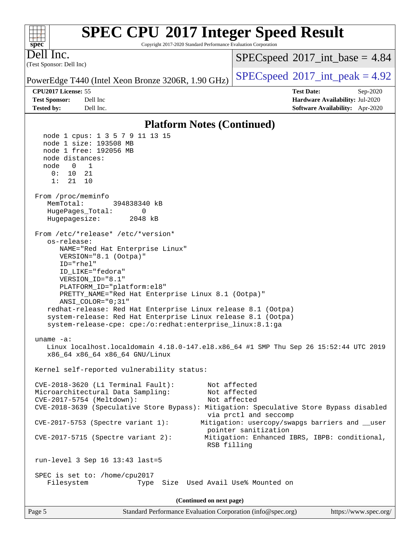#### **[SPEC CPU](http://www.spec.org/auto/cpu2017/Docs/result-fields.html#SPECCPU2017IntegerSpeedResult)[2017 Integer Speed Result](http://www.spec.org/auto/cpu2017/Docs/result-fields.html#SPECCPU2017IntegerSpeedResult)**  $+\ +$ **[spec](http://www.spec.org/)** Copyright 2017-2020 Standard Performance Evaluation Corporation Dell Inc.  $SPECspeed^{\circ}2017\_int\_base = 4.84$  $SPECspeed^{\circ}2017\_int\_base = 4.84$ (Test Sponsor: Dell Inc) PowerEdge T440 (Intel Xeon Bronze 3206R, 1.90 GHz)  $\left|$  [SPECspeed](http://www.spec.org/auto/cpu2017/Docs/result-fields.html#SPECspeed2017intpeak)®[2017\\_int\\_peak = 4](http://www.spec.org/auto/cpu2017/Docs/result-fields.html#SPECspeed2017intpeak).92 **[CPU2017 License:](http://www.spec.org/auto/cpu2017/Docs/result-fields.html#CPU2017License)** 55 **[Test Date:](http://www.spec.org/auto/cpu2017/Docs/result-fields.html#TestDate)** Sep-2020 **[Test Sponsor:](http://www.spec.org/auto/cpu2017/Docs/result-fields.html#TestSponsor)** Dell Inc **[Hardware Availability:](http://www.spec.org/auto/cpu2017/Docs/result-fields.html#HardwareAvailability)** Jul-2020 **[Tested by:](http://www.spec.org/auto/cpu2017/Docs/result-fields.html#Testedby)** Dell Inc. **[Software Availability:](http://www.spec.org/auto/cpu2017/Docs/result-fields.html#SoftwareAvailability)** Apr-2020 **[Platform Notes \(Continued\)](http://www.spec.org/auto/cpu2017/Docs/result-fields.html#PlatformNotes)** node 1 cpus: 1 3 5 7 9 11 13 15 node 1 size: 193508 MB node 1 free: 192056 MB node distances: node 0 1 0: 10 21 1: 21 10 From /proc/meminfo MemTotal: 394838340 kB HugePages\_Total: 0 Hugepagesize: 2048 kB From /etc/\*release\* /etc/\*version\* os-release: NAME="Red Hat Enterprise Linux" VERSION="8.1 (Ootpa)" ID="rhel" ID\_LIKE="fedora" VERSION\_ID="8.1" PLATFORM\_ID="platform:el8" PRETTY\_NAME="Red Hat Enterprise Linux 8.1 (Ootpa)" ANSI\_COLOR="0;31" redhat-release: Red Hat Enterprise Linux release 8.1 (Ootpa) system-release: Red Hat Enterprise Linux release 8.1 (Ootpa) system-release-cpe: cpe:/o:redhat:enterprise\_linux:8.1:ga uname -a: Linux localhost.localdomain 4.18.0-147.el8.x86\_64 #1 SMP Thu Sep 26 15:52:44 UTC 2019 x86\_64 x86\_64 x86\_64 GNU/Linux Kernel self-reported vulnerability status: CVE-2018-3620 (L1 Terminal Fault): Not affected Microarchitectural Data Sampling: Not affected CVE-2017-5754 (Meltdown): Not affected CVE-2018-3639 (Speculative Store Bypass): Mitigation: Speculative Store Bypass disabled via prctl and seccomp CVE-2017-5753 (Spectre variant 1): Mitigation: usercopy/swapgs barriers and \_\_user pointer sanitization CVE-2017-5715 (Spectre variant 2): Mitigation: Enhanced IBRS, IBPB: conditional, RSB filling run-level 3 Sep 16 13:43 last=5 SPEC is set to: /home/cpu2017 Filesystem Type Size Used Avail Use% Mounted on **(Continued on next page)**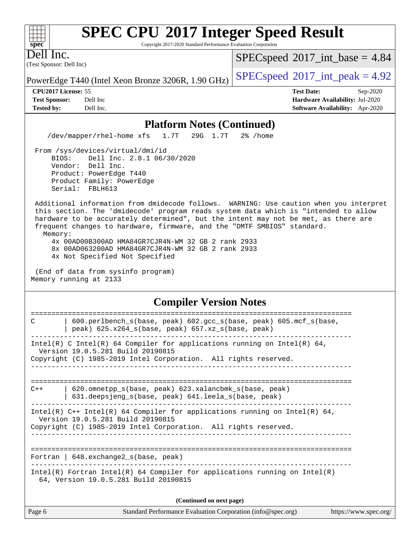Copyright 2017-2020 Standard Performance Evaluation Corporation

(Test Sponsor: Dell Inc) Dell Inc.

**[spec](http://www.spec.org/)**

 $+\ +$ 

 $SPECspeed^{\circledcirc}2017\_int\_base = 4.84$  $SPECspeed^{\circledcirc}2017\_int\_base = 4.84$ 

PowerEdge T440 (Intel Xeon Bronze 3206R, 1.90 GHz)  $\left|$  [SPECspeed](http://www.spec.org/auto/cpu2017/Docs/result-fields.html#SPECspeed2017intpeak)®[2017\\_int\\_peak = 4](http://www.spec.org/auto/cpu2017/Docs/result-fields.html#SPECspeed2017intpeak).92

**[CPU2017 License:](http://www.spec.org/auto/cpu2017/Docs/result-fields.html#CPU2017License)** 55 **[Test Date:](http://www.spec.org/auto/cpu2017/Docs/result-fields.html#TestDate)** Sep-2020 **[Test Sponsor:](http://www.spec.org/auto/cpu2017/Docs/result-fields.html#TestSponsor)** Dell Inc **[Hardware Availability:](http://www.spec.org/auto/cpu2017/Docs/result-fields.html#HardwareAvailability)** Jul-2020 **[Tested by:](http://www.spec.org/auto/cpu2017/Docs/result-fields.html#Testedby)** Dell Inc. **[Software Availability:](http://www.spec.org/auto/cpu2017/Docs/result-fields.html#SoftwareAvailability)** Apr-2020

#### **[Platform Notes \(Continued\)](http://www.spec.org/auto/cpu2017/Docs/result-fields.html#PlatformNotes)**

/dev/mapper/rhel-home xfs 1.7T 29G 1.7T 2% /home

 From /sys/devices/virtual/dmi/id BIOS: Dell Inc. 2.8.1 06/30/2020 Vendor: Dell Inc. Product: PowerEdge T440 Product Family: PowerEdge Serial: FBLH613

 Additional information from dmidecode follows. WARNING: Use caution when you interpret this section. The 'dmidecode' program reads system data which is "intended to allow hardware to be accurately determined", but the intent may not be met, as there are frequent changes to hardware, firmware, and the "DMTF SMBIOS" standard. Memory:

 4x 00AD00B300AD HMA84GR7CJR4N-WM 32 GB 2 rank 2933 8x 00AD063200AD HMA84GR7CJR4N-WM 32 GB 2 rank 2933 4x Not Specified Not Specified

 (End of data from sysinfo program) Memory running at 2133

#### **[Compiler Version Notes](http://www.spec.org/auto/cpu2017/Docs/result-fields.html#CompilerVersionNotes)**

| $600.$ perlbench $s(base, peak)$ 602. qcc $s(base, peak)$ 605. mcf $s(base,$<br>C<br>peak) $625.x264_s(base, peak)$ $657.xz_s(base, peak)$                                           |  |  |  |  |  |  |
|--------------------------------------------------------------------------------------------------------------------------------------------------------------------------------------|--|--|--|--|--|--|
| Intel(R) C Intel(R) 64 Compiler for applications running on Intel(R) 64,<br>Version 19.0.5.281 Build 20190815<br>Copyright (C) 1985-2019 Intel Corporation. All rights reserved.     |  |  |  |  |  |  |
|                                                                                                                                                                                      |  |  |  |  |  |  |
| 620.omnetpp_s(base, peak) 623.xalancbmk_s(base, peak)<br>$C++$<br>631.deepsjeng_s(base, peak) 641.leela_s(base, peak)                                                                |  |  |  |  |  |  |
| Intel(R) $C++$ Intel(R) 64 Compiler for applications running on Intel(R) 64,<br>Version 19.0.5.281 Build 20190815<br>Copyright (C) 1985-2019 Intel Corporation. All rights reserved. |  |  |  |  |  |  |
|                                                                                                                                                                                      |  |  |  |  |  |  |
| Fortran   $648$ . exchange2 $s$ (base, peak)                                                                                                                                         |  |  |  |  |  |  |
| $Intel(R)$ Fortran Intel(R) 64 Compiler for applications running on Intel(R)<br>64, Version 19.0.5.281 Build 20190815                                                                |  |  |  |  |  |  |
| (Continued on next page)                                                                                                                                                             |  |  |  |  |  |  |

| Page 6 | Standard Performance Evaluation Corporation (info@spec.org) | https://www.spec.org/ |
|--------|-------------------------------------------------------------|-----------------------|
|--------|-------------------------------------------------------------|-----------------------|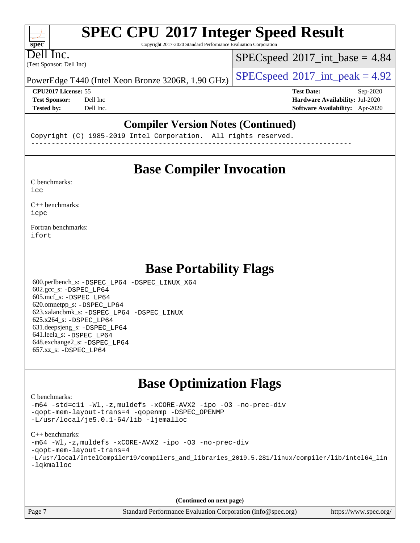Copyright 2017-2020 Standard Performance Evaluation Corporation

(Test Sponsor: Dell Inc) Dell Inc.

**[spec](http://www.spec.org/)**

 $+\ +$ 

 $SPECspeed^{\circledcirc}2017\_int\_base = 4.84$  $SPECspeed^{\circledcirc}2017\_int\_base = 4.84$ 

PowerEdge T440 (Intel Xeon Bronze 3206R, 1.90 GHz)  $\left|$  [SPECspeed](http://www.spec.org/auto/cpu2017/Docs/result-fields.html#SPECspeed2017intpeak)®[2017\\_int\\_peak = 4](http://www.spec.org/auto/cpu2017/Docs/result-fields.html#SPECspeed2017intpeak).92

**[CPU2017 License:](http://www.spec.org/auto/cpu2017/Docs/result-fields.html#CPU2017License)** 55 **[Test Date:](http://www.spec.org/auto/cpu2017/Docs/result-fields.html#TestDate)** Sep-2020 **[Test Sponsor:](http://www.spec.org/auto/cpu2017/Docs/result-fields.html#TestSponsor)** Dell Inc **[Hardware Availability:](http://www.spec.org/auto/cpu2017/Docs/result-fields.html#HardwareAvailability)** Jul-2020 **[Tested by:](http://www.spec.org/auto/cpu2017/Docs/result-fields.html#Testedby)** Dell Inc. **[Software Availability:](http://www.spec.org/auto/cpu2017/Docs/result-fields.html#SoftwareAvailability)** Apr-2020

#### **[Compiler Version Notes \(Continued\)](http://www.spec.org/auto/cpu2017/Docs/result-fields.html#CompilerVersionNotes)**

Copyright (C) 1985-2019 Intel Corporation. All rights reserved. ------------------------------------------------------------------------------

### **[Base Compiler Invocation](http://www.spec.org/auto/cpu2017/Docs/result-fields.html#BaseCompilerInvocation)**

[C benchmarks](http://www.spec.org/auto/cpu2017/Docs/result-fields.html#Cbenchmarks): [icc](http://www.spec.org/cpu2017/results/res2020q4/cpu2017-20200928-24068.flags.html#user_CCbase_intel_icc_66fc1ee009f7361af1fbd72ca7dcefbb700085f36577c54f309893dd4ec40d12360134090235512931783d35fd58c0460139e722d5067c5574d8eaf2b3e37e92)

[C++ benchmarks:](http://www.spec.org/auto/cpu2017/Docs/result-fields.html#CXXbenchmarks) [icpc](http://www.spec.org/cpu2017/results/res2020q4/cpu2017-20200928-24068.flags.html#user_CXXbase_intel_icpc_c510b6838c7f56d33e37e94d029a35b4a7bccf4766a728ee175e80a419847e808290a9b78be685c44ab727ea267ec2f070ec5dc83b407c0218cded6866a35d07)

[Fortran benchmarks](http://www.spec.org/auto/cpu2017/Docs/result-fields.html#Fortranbenchmarks): [ifort](http://www.spec.org/cpu2017/results/res2020q4/cpu2017-20200928-24068.flags.html#user_FCbase_intel_ifort_8111460550e3ca792625aed983ce982f94888b8b503583aa7ba2b8303487b4d8a21a13e7191a45c5fd58ff318f48f9492884d4413fa793fd88dd292cad7027ca)

### **[Base Portability Flags](http://www.spec.org/auto/cpu2017/Docs/result-fields.html#BasePortabilityFlags)**

 600.perlbench\_s: [-DSPEC\\_LP64](http://www.spec.org/cpu2017/results/res2020q4/cpu2017-20200928-24068.flags.html#b600.perlbench_s_basePORTABILITY_DSPEC_LP64) [-DSPEC\\_LINUX\\_X64](http://www.spec.org/cpu2017/results/res2020q4/cpu2017-20200928-24068.flags.html#b600.perlbench_s_baseCPORTABILITY_DSPEC_LINUX_X64) 602.gcc\_s: [-DSPEC\\_LP64](http://www.spec.org/cpu2017/results/res2020q4/cpu2017-20200928-24068.flags.html#suite_basePORTABILITY602_gcc_s_DSPEC_LP64) 605.mcf\_s: [-DSPEC\\_LP64](http://www.spec.org/cpu2017/results/res2020q4/cpu2017-20200928-24068.flags.html#suite_basePORTABILITY605_mcf_s_DSPEC_LP64) 620.omnetpp\_s: [-DSPEC\\_LP64](http://www.spec.org/cpu2017/results/res2020q4/cpu2017-20200928-24068.flags.html#suite_basePORTABILITY620_omnetpp_s_DSPEC_LP64) 623.xalancbmk\_s: [-DSPEC\\_LP64](http://www.spec.org/cpu2017/results/res2020q4/cpu2017-20200928-24068.flags.html#suite_basePORTABILITY623_xalancbmk_s_DSPEC_LP64) [-DSPEC\\_LINUX](http://www.spec.org/cpu2017/results/res2020q4/cpu2017-20200928-24068.flags.html#b623.xalancbmk_s_baseCXXPORTABILITY_DSPEC_LINUX) 625.x264\_s: [-DSPEC\\_LP64](http://www.spec.org/cpu2017/results/res2020q4/cpu2017-20200928-24068.flags.html#suite_basePORTABILITY625_x264_s_DSPEC_LP64) 631.deepsjeng\_s: [-DSPEC\\_LP64](http://www.spec.org/cpu2017/results/res2020q4/cpu2017-20200928-24068.flags.html#suite_basePORTABILITY631_deepsjeng_s_DSPEC_LP64) 641.leela\_s: [-DSPEC\\_LP64](http://www.spec.org/cpu2017/results/res2020q4/cpu2017-20200928-24068.flags.html#suite_basePORTABILITY641_leela_s_DSPEC_LP64) 648.exchange2\_s: [-DSPEC\\_LP64](http://www.spec.org/cpu2017/results/res2020q4/cpu2017-20200928-24068.flags.html#suite_basePORTABILITY648_exchange2_s_DSPEC_LP64) 657.xz\_s: [-DSPEC\\_LP64](http://www.spec.org/cpu2017/results/res2020q4/cpu2017-20200928-24068.flags.html#suite_basePORTABILITY657_xz_s_DSPEC_LP64)

## **[Base Optimization Flags](http://www.spec.org/auto/cpu2017/Docs/result-fields.html#BaseOptimizationFlags)**

#### [C benchmarks](http://www.spec.org/auto/cpu2017/Docs/result-fields.html#Cbenchmarks):

[-m64](http://www.spec.org/cpu2017/results/res2020q4/cpu2017-20200928-24068.flags.html#user_CCbase_m64-icc) [-std=c11](http://www.spec.org/cpu2017/results/res2020q4/cpu2017-20200928-24068.flags.html#user_CCbase_std-icc-std_0e1c27790398a4642dfca32ffe6c27b5796f9c2d2676156f2e42c9c44eaad0c049b1cdb667a270c34d979996257aeb8fc440bfb01818dbc9357bd9d174cb8524) [-Wl,-z,muldefs](http://www.spec.org/cpu2017/results/res2020q4/cpu2017-20200928-24068.flags.html#user_CCbase_link_force_multiple1_b4cbdb97b34bdee9ceefcfe54f4c8ea74255f0b02a4b23e853cdb0e18eb4525ac79b5a88067c842dd0ee6996c24547a27a4b99331201badda8798ef8a743f577) [-xCORE-AVX2](http://www.spec.org/cpu2017/results/res2020q4/cpu2017-20200928-24068.flags.html#user_CCbase_f-xCORE-AVX2) [-ipo](http://www.spec.org/cpu2017/results/res2020q4/cpu2017-20200928-24068.flags.html#user_CCbase_f-ipo) [-O3](http://www.spec.org/cpu2017/results/res2020q4/cpu2017-20200928-24068.flags.html#user_CCbase_f-O3) [-no-prec-div](http://www.spec.org/cpu2017/results/res2020q4/cpu2017-20200928-24068.flags.html#user_CCbase_f-no-prec-div) [-qopt-mem-layout-trans=4](http://www.spec.org/cpu2017/results/res2020q4/cpu2017-20200928-24068.flags.html#user_CCbase_f-qopt-mem-layout-trans_fa39e755916c150a61361b7846f310bcdf6f04e385ef281cadf3647acec3f0ae266d1a1d22d972a7087a248fd4e6ca390a3634700869573d231a252c784941a8) [-qopenmp](http://www.spec.org/cpu2017/results/res2020q4/cpu2017-20200928-24068.flags.html#user_CCbase_qopenmp_16be0c44f24f464004c6784a7acb94aca937f053568ce72f94b139a11c7c168634a55f6653758ddd83bcf7b8463e8028bb0b48b77bcddc6b78d5d95bb1df2967) [-DSPEC\\_OPENMP](http://www.spec.org/cpu2017/results/res2020q4/cpu2017-20200928-24068.flags.html#suite_CCbase_DSPEC_OPENMP) [-L/usr/local/je5.0.1-64/lib](http://www.spec.org/cpu2017/results/res2020q4/cpu2017-20200928-24068.flags.html#user_CCbase_jemalloc_link_path64_4b10a636b7bce113509b17f3bd0d6226c5fb2346b9178c2d0232c14f04ab830f976640479e5c33dc2bcbbdad86ecfb6634cbbd4418746f06f368b512fced5394) [-ljemalloc](http://www.spec.org/cpu2017/results/res2020q4/cpu2017-20200928-24068.flags.html#user_CCbase_jemalloc_link_lib_d1249b907c500fa1c0672f44f562e3d0f79738ae9e3c4a9c376d49f265a04b9c99b167ecedbf6711b3085be911c67ff61f150a17b3472be731631ba4d0471706)

#### [C++ benchmarks:](http://www.spec.org/auto/cpu2017/Docs/result-fields.html#CXXbenchmarks)

[-m64](http://www.spec.org/cpu2017/results/res2020q4/cpu2017-20200928-24068.flags.html#user_CXXbase_m64-icc) [-Wl,-z,muldefs](http://www.spec.org/cpu2017/results/res2020q4/cpu2017-20200928-24068.flags.html#user_CXXbase_link_force_multiple1_b4cbdb97b34bdee9ceefcfe54f4c8ea74255f0b02a4b23e853cdb0e18eb4525ac79b5a88067c842dd0ee6996c24547a27a4b99331201badda8798ef8a743f577) [-xCORE-AVX2](http://www.spec.org/cpu2017/results/res2020q4/cpu2017-20200928-24068.flags.html#user_CXXbase_f-xCORE-AVX2) [-ipo](http://www.spec.org/cpu2017/results/res2020q4/cpu2017-20200928-24068.flags.html#user_CXXbase_f-ipo) [-O3](http://www.spec.org/cpu2017/results/res2020q4/cpu2017-20200928-24068.flags.html#user_CXXbase_f-O3) [-no-prec-div](http://www.spec.org/cpu2017/results/res2020q4/cpu2017-20200928-24068.flags.html#user_CXXbase_f-no-prec-div)

- [-qopt-mem-layout-trans=4](http://www.spec.org/cpu2017/results/res2020q4/cpu2017-20200928-24068.flags.html#user_CXXbase_f-qopt-mem-layout-trans_fa39e755916c150a61361b7846f310bcdf6f04e385ef281cadf3647acec3f0ae266d1a1d22d972a7087a248fd4e6ca390a3634700869573d231a252c784941a8)
- [-L/usr/local/IntelCompiler19/compilers\\_and\\_libraries\\_2019.5.281/linux/compiler/lib/intel64\\_lin](http://www.spec.org/cpu2017/results/res2020q4/cpu2017-20200928-24068.flags.html#user_CXXbase_linkpath_4f9d993c5726f6cd990fd7f0881764e14561d22b5566c01d7c2b7ceefbf5abc3a2f1cca456d882f2837910dca6b2aece94c5bbd22bda8d27ef368eba816c0c31) [-lqkmalloc](http://www.spec.org/cpu2017/results/res2020q4/cpu2017-20200928-24068.flags.html#user_CXXbase_qkmalloc_link_lib_79a818439969f771c6bc311cfd333c00fc099dad35c030f5aab9dda831713d2015205805422f83de8875488a2991c0a156aaa600e1f9138f8fc37004abc96dc5)

**(Continued on next page)**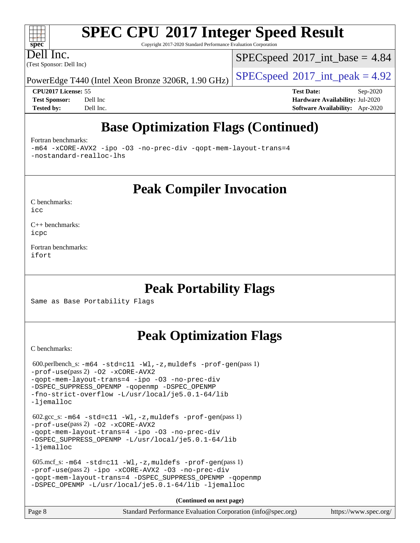Copyright 2017-2020 Standard Performance Evaluation Corporation

(Test Sponsor: Dell Inc) Dell Inc.

**[spec](http://www.spec.org/)**

 $+\ +$ 

 $SPECspeed^{\circ}2017\_int\_base = 4.84$  $SPECspeed^{\circ}2017\_int\_base = 4.84$ 

PowerEdge T440 (Intel Xeon Bronze 3206R, 1.90 GHz)  $\left|$  [SPECspeed](http://www.spec.org/auto/cpu2017/Docs/result-fields.html#SPECspeed2017intpeak)®[2017\\_int\\_peak = 4](http://www.spec.org/auto/cpu2017/Docs/result-fields.html#SPECspeed2017intpeak).92

**[CPU2017 License:](http://www.spec.org/auto/cpu2017/Docs/result-fields.html#CPU2017License)** 55 **[Test Date:](http://www.spec.org/auto/cpu2017/Docs/result-fields.html#TestDate)** Sep-2020 **[Test Sponsor:](http://www.spec.org/auto/cpu2017/Docs/result-fields.html#TestSponsor)** Dell Inc **[Hardware Availability:](http://www.spec.org/auto/cpu2017/Docs/result-fields.html#HardwareAvailability)** Jul-2020 **[Tested by:](http://www.spec.org/auto/cpu2017/Docs/result-fields.html#Testedby)** Dell Inc. **[Software Availability:](http://www.spec.org/auto/cpu2017/Docs/result-fields.html#SoftwareAvailability)** Apr-2020

## **[Base Optimization Flags \(Continued\)](http://www.spec.org/auto/cpu2017/Docs/result-fields.html#BaseOptimizationFlags)**

[Fortran benchmarks](http://www.spec.org/auto/cpu2017/Docs/result-fields.html#Fortranbenchmarks):

[-m64](http://www.spec.org/cpu2017/results/res2020q4/cpu2017-20200928-24068.flags.html#user_FCbase_m64-icc) [-xCORE-AVX2](http://www.spec.org/cpu2017/results/res2020q4/cpu2017-20200928-24068.flags.html#user_FCbase_f-xCORE-AVX2) [-ipo](http://www.spec.org/cpu2017/results/res2020q4/cpu2017-20200928-24068.flags.html#user_FCbase_f-ipo) [-O3](http://www.spec.org/cpu2017/results/res2020q4/cpu2017-20200928-24068.flags.html#user_FCbase_f-O3) [-no-prec-div](http://www.spec.org/cpu2017/results/res2020q4/cpu2017-20200928-24068.flags.html#user_FCbase_f-no-prec-div) [-qopt-mem-layout-trans=4](http://www.spec.org/cpu2017/results/res2020q4/cpu2017-20200928-24068.flags.html#user_FCbase_f-qopt-mem-layout-trans_fa39e755916c150a61361b7846f310bcdf6f04e385ef281cadf3647acec3f0ae266d1a1d22d972a7087a248fd4e6ca390a3634700869573d231a252c784941a8) [-nostandard-realloc-lhs](http://www.spec.org/cpu2017/results/res2020q4/cpu2017-20200928-24068.flags.html#user_FCbase_f_2003_std_realloc_82b4557e90729c0f113870c07e44d33d6f5a304b4f63d4c15d2d0f1fab99f5daaed73bdb9275d9ae411527f28b936061aa8b9c8f2d63842963b95c9dd6426b8a)

**[Peak Compiler Invocation](http://www.spec.org/auto/cpu2017/Docs/result-fields.html#PeakCompilerInvocation)**

[C benchmarks](http://www.spec.org/auto/cpu2017/Docs/result-fields.html#Cbenchmarks): [icc](http://www.spec.org/cpu2017/results/res2020q4/cpu2017-20200928-24068.flags.html#user_CCpeak_intel_icc_66fc1ee009f7361af1fbd72ca7dcefbb700085f36577c54f309893dd4ec40d12360134090235512931783d35fd58c0460139e722d5067c5574d8eaf2b3e37e92)

[C++ benchmarks:](http://www.spec.org/auto/cpu2017/Docs/result-fields.html#CXXbenchmarks) [icpc](http://www.spec.org/cpu2017/results/res2020q4/cpu2017-20200928-24068.flags.html#user_CXXpeak_intel_icpc_c510b6838c7f56d33e37e94d029a35b4a7bccf4766a728ee175e80a419847e808290a9b78be685c44ab727ea267ec2f070ec5dc83b407c0218cded6866a35d07)

[Fortran benchmarks](http://www.spec.org/auto/cpu2017/Docs/result-fields.html#Fortranbenchmarks): [ifort](http://www.spec.org/cpu2017/results/res2020q4/cpu2017-20200928-24068.flags.html#user_FCpeak_intel_ifort_8111460550e3ca792625aed983ce982f94888b8b503583aa7ba2b8303487b4d8a21a13e7191a45c5fd58ff318f48f9492884d4413fa793fd88dd292cad7027ca)

## **[Peak Portability Flags](http://www.spec.org/auto/cpu2017/Docs/result-fields.html#PeakPortabilityFlags)**

Same as Base Portability Flags

## **[Peak Optimization Flags](http://www.spec.org/auto/cpu2017/Docs/result-fields.html#PeakOptimizationFlags)**

[C benchmarks](http://www.spec.org/auto/cpu2017/Docs/result-fields.html#Cbenchmarks):

```
 600.perlbench_s: -m64 -std=c11 -Wl,-z,muldefs -prof-gen(pass 1)
-prof-use(pass 2) -O2 -xCORE-AVX2
-qopt-mem-layout-trans=4 -ipo -O3 -no-prec-div
-DSPEC_SUPPRESS_OPENMP -qopenmp -DSPEC_OPENMP
-fno-strict-overflow -L/usr/local/je5.0.1-64/lib
-ljemalloc
602.\text{sec}\text{-s}: -\text{m}64 - \text{std}=c11 - \text{W1}, -\text{z}, \text{mul}defs -\text{prof}-\text{gen}( \text{pass } 1)-prof-use(pass 2)-O2 -xCORE-AVX2-qopt-mem-layout-trans=4 -ipo -O3 -no-prec-div
-L/usr/local/je5.0.1-64/lib
-ljemalloc
 605.mcf_s: -m64 -std=c11 -Wl,-z,muldefs -prof-gen(pass 1)
-prof-use(pass 2) -ipo -xCORE-AVX2 -O3 -no-prec-div
-qopt-mem-layout-trans=4 -DSPEC_SUPPRESS_OPENMP -qopenmp
-DSPEC_OPENMP -L/usr/local/je5.0.1-64/lib -ljemalloc
                                        (Continued on next page)
```